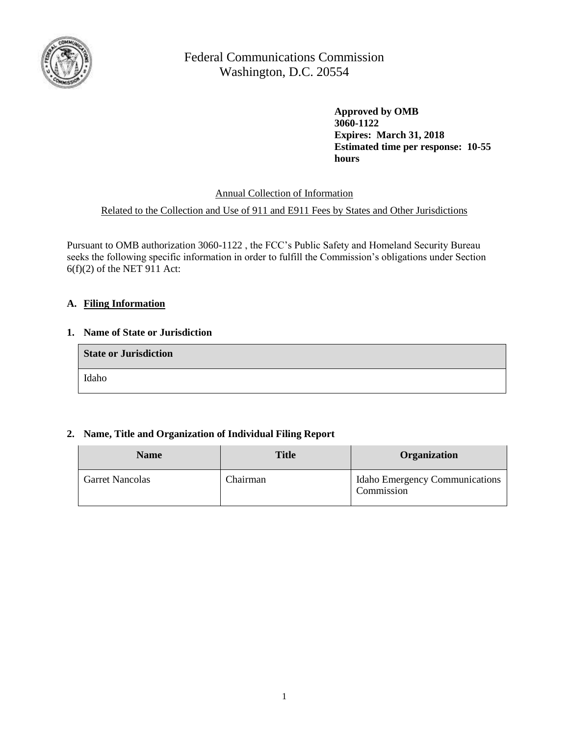

> **Approved by OMB 3060-1122 Expires: March 31, 2018 Estimated time per response: 10-55 hours**

Annual Collection of Information

### Related to the Collection and Use of 911 and E911 Fees by States and Other Jurisdictions

Pursuant to OMB authorization 3060-1122 , the FCC's Public Safety and Homeland Security Bureau seeks the following specific information in order to fulfill the Commission's obligations under Section  $6(f)(2)$  of the NET 911 Act:

### **A. Filing Information**

#### **1. Name of State or Jurisdiction**

| <b>State or Jurisdiction</b> |  |
|------------------------------|--|
| Idaho                        |  |

### **2. Name, Title and Organization of Individual Filing Report**

| <b>Name</b>            | <b>Title</b> | <b>Organization</b>                          |
|------------------------|--------------|----------------------------------------------|
| <b>Garret Nancolas</b> | Chairman     | Idaho Emergency Communications<br>Commission |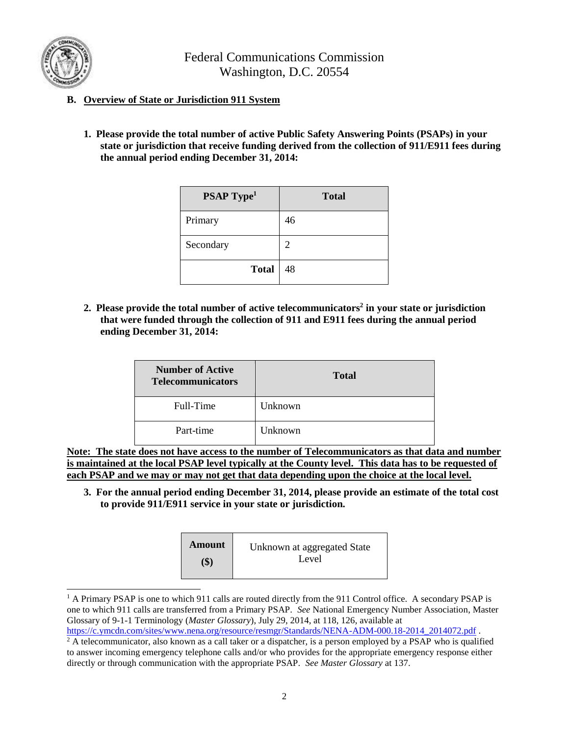

 $\overline{\phantom{a}}$ 

Federal Communications Commission Washington, D.C. 20554

### **B. Overview of State or Jurisdiction 911 System**

**1. Please provide the total number of active Public Safety Answering Points (PSAPs) in your state or jurisdiction that receive funding derived from the collection of 911/E911 fees during the annual period ending December 31, 2014:**

| <b>PSAP Type<sup>1</sup></b> | <b>Total</b> |
|------------------------------|--------------|
| Primary                      | 46           |
| Secondary                    | 2            |
| <b>Total</b>                 | 48           |

**2. Please provide the total number of active telecommunicators<sup>2</sup> in your state or jurisdiction that were funded through the collection of 911 and E911 fees during the annual period ending December 31, 2014:**

| <b>Number of Active</b><br><b>Telecommunicators</b> | <b>Total</b>   |
|-----------------------------------------------------|----------------|
| Full-Time                                           | Unknown        |
| Part-time                                           | <b>Unknown</b> |

**Note: The state does not have access to the number of Telecommunicators as that data and number is maintained at the local PSAP level typically at the County level. This data has to be requested of each PSAP and we may or may not get that data depending upon the choice at the local level.**

**3. For the annual period ending December 31, 2014, please provide an estimate of the total cost to provide 911/E911 service in your state or jurisdiction.**

| <b>Amount</b>              | Unknown at aggregated State |
|----------------------------|-----------------------------|
| $\left( \mathbb{S}\right)$ | Level                       |

<sup>&</sup>lt;sup>1</sup> A Primary PSAP is one to which 911 calls are routed directly from the 911 Control office. A secondary PSAP is one to which 911 calls are transferred from a Primary PSAP. *See* National Emergency Number Association, Master Glossary of 9-1-1 Terminology (*Master Glossary*), July 29, 2014, at 118, 126, available at

[https://c.ymcdn.com/sites/www.nena.org/resource/resmgr/Standards/NENA-ADM-000.18-2014\\_2014072.pdf](https://c.ymcdn.com/sites/www.nena.org/resource/resmgr/Standards/NENA-ADM-000.18-2014_2014072.pdf) .

<sup>&</sup>lt;sup>2</sup> A telecommunicator, also known as a call taker or a dispatcher, is a person employed by a PSAP who is qualified to answer incoming emergency telephone calls and/or who provides for the appropriate emergency response either directly or through communication with the appropriate PSAP. *See Master Glossary* at 137.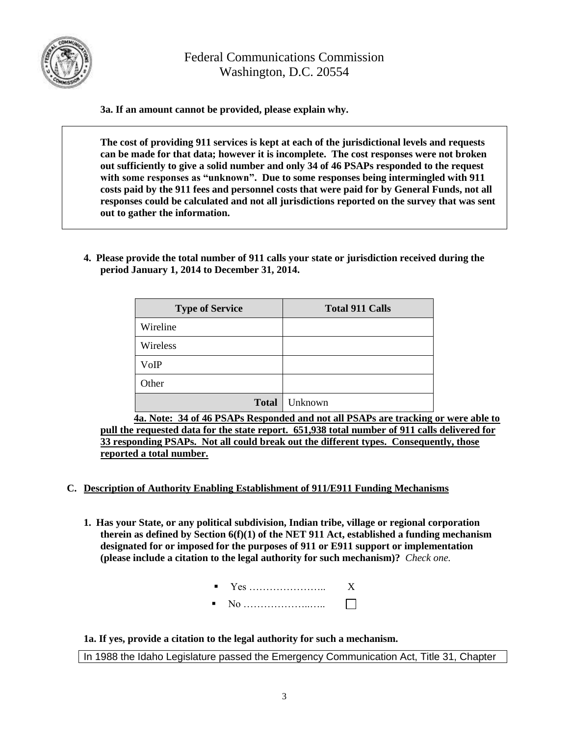

**3a. If an amount cannot be provided, please explain why.**

**The cost of providing 911 services is kept at each of the jurisdictional levels and requests can be made for that data; however it is incomplete. The cost responses were not broken out sufficiently to give a solid number and only 34 of 46 PSAPs responded to the request with some responses as "unknown". Due to some responses being intermingled with 911 costs paid by the 911 fees and personnel costs that were paid for by General Funds, not all responses could be calculated and not all jurisdictions reported on the survey that was sent out to gather the information.**

**4. Please provide the total number of 911 calls your state or jurisdiction received during the period January 1, 2014 to December 31, 2014.**

| <b>Type of Service</b> | <b>Total 911 Calls</b> |
|------------------------|------------------------|
| Wireline               |                        |
| Wireless               |                        |
| VoIP                   |                        |
| Other                  |                        |
| <b>Total</b>           | Unknown                |

**4a. Note: 34 of 46 PSAPs Responded and not all PSAPs are tracking or were able to pull the requested data for the state report. 651,938 total number of 911 calls delivered for 33 responding PSAPs. Not all could break out the different types. Consequently, those reported a total number.**

- **C. Description of Authority Enabling Establishment of 911/E911 Funding Mechanisms**
	- **1. Has your State, or any political subdivision, Indian tribe, village or regional corporation therein as defined by Section 6(f)(1) of the NET 911 Act, established a funding mechanism designated for or imposed for the purposes of 911 or E911 support or implementation (please include a citation to the legal authority for such mechanism)?** *Check one.*
		- Yes ………………….. X
		- No ………………..…..  $\Box$

**1a. If yes, provide a citation to the legal authority for such a mechanism.**

In 1988 the Idaho Legislature passed the Emergency Communication Act, Title 31, Chapter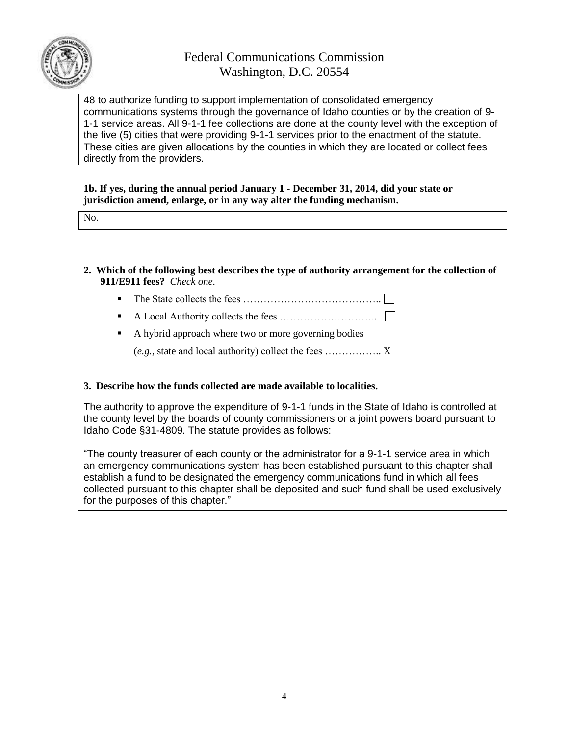

48 to authorize funding to support implementation of consolidated emergency communications systems through the governance of Idaho counties or by the creation of 9- 1-1 service areas. All 9-1-1 fee collections are done at the county level with the exception of the five (5) cities that were providing 9-1-1 services prior to the enactment of the statute. These cities are given allocations by the counties in which they are located or collect fees directly from the providers.

**1b. If yes, during the annual period January 1 - December 31, 2014, did your state or jurisdiction amend, enlarge, or in any way alter the funding mechanism.**

No.

- **2. Which of the following best describes the type of authority arrangement for the collection of 911/E911 fees?** *Check one*.
	- The State collects the fees  $\dots$   $\dots$   $\dots$   $\dots$   $\dots$   $\dots$   $\dots$
	- A Local Authority collects the fees ………………………..
	- A hybrid approach where two or more governing bodies

(*e.g.*, state and local authority) collect the fees …………….. X

#### **3. Describe how the funds collected are made available to localities.**

The authority to approve the expenditure of 9-1-1 funds in the State of Idaho is controlled at the county level by the boards of county commissioners or a joint powers board pursuant to Idaho Code §31-4809. The statute provides as follows:

"The county treasurer of each county or the administrator for a 9-1-1 service area in which an emergency communications system has been established pursuant to this chapter shall establish a fund to be designated the emergency communications fund in which all fees collected pursuant to this chapter shall be deposited and such fund shall be used exclusively for the purposes of this chapter."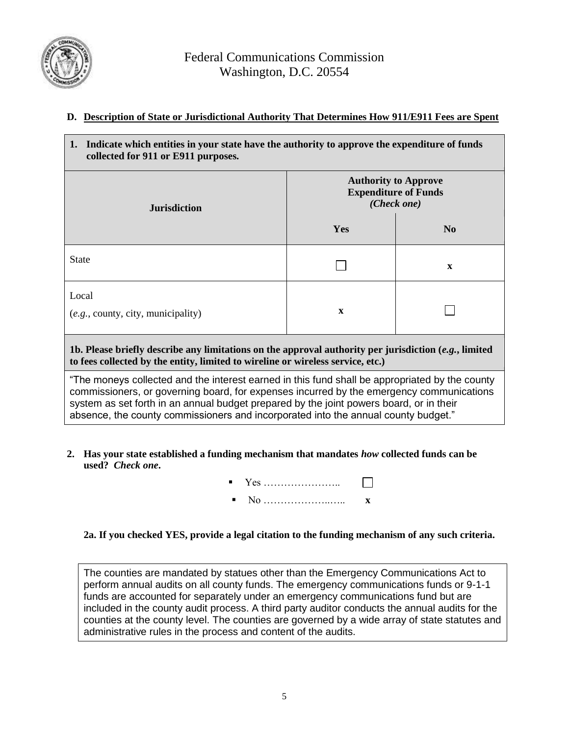

### **D. Description of State or Jurisdictional Authority That Determines How 911/E911 Fees are Spent**

| Indicate which entities in your state have the authority to approve the expenditure of funds<br>1.<br>collected for 911 or E911 purposes.                                                                                                                                                                                                                                   |                                                                           |                |  |
|-----------------------------------------------------------------------------------------------------------------------------------------------------------------------------------------------------------------------------------------------------------------------------------------------------------------------------------------------------------------------------|---------------------------------------------------------------------------|----------------|--|
| <b>Jurisdiction</b>                                                                                                                                                                                                                                                                                                                                                         | <b>Authority to Approve</b><br><b>Expenditure of Funds</b><br>(Check one) |                |  |
|                                                                                                                                                                                                                                                                                                                                                                             | Yes                                                                       | N <sub>0</sub> |  |
| <b>State</b>                                                                                                                                                                                                                                                                                                                                                                |                                                                           | $\mathbf{x}$   |  |
| Local<br>(e.g., county, city, municipality)                                                                                                                                                                                                                                                                                                                                 | $\mathbf x$                                                               |                |  |
| 1b. Please briefly describe any limitations on the approval authority per jurisdiction $(e.g.,$ limited<br>to fees collected by the entity, limited to wireline or wireless service, etc.)                                                                                                                                                                                  |                                                                           |                |  |
| "The moneys collected and the interest earned in this fund shall be appropriated by the county<br>commissioners, or governing board, for expenses incurred by the emergency communications<br>system as set forth in an annual budget prepared by the joint powers board, or in their<br>absence, the county commissioners and incorporated into the annual county budget." |                                                                           |                |  |

- **2. Has your state established a funding mechanism that mandates** *how* **collected funds can be used?** *Check one***.**
	- Yes …………………..  $\perp$
	- No ………………..….. **x**

### **2a. If you checked YES, provide a legal citation to the funding mechanism of any such criteria.**

The counties are mandated by statues other than the Emergency Communications Act to perform annual audits on all county funds. The emergency communications funds or 9-1-1 funds are accounted for separately under an emergency communications fund but are included in the county audit process. A third party auditor conducts the annual audits for the counties at the county level. The counties are governed by a wide array of state statutes and administrative rules in the process and content of the audits.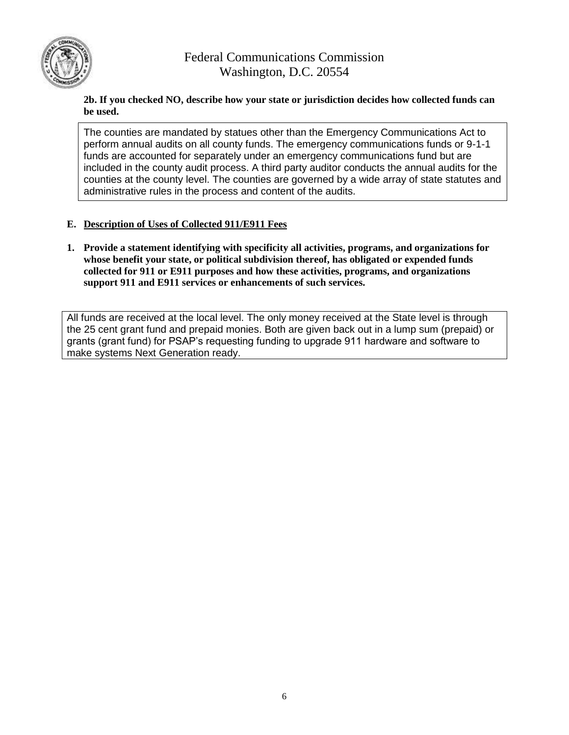

### **2b. If you checked NO, describe how your state or jurisdiction decides how collected funds can be used.**

The counties are mandated by statues other than the Emergency Communications Act to perform annual audits on all county funds. The emergency communications funds or 9-1-1 funds are accounted for separately under an emergency communications fund but are included in the county audit process. A third party auditor conducts the annual audits for the counties at the county level. The counties are governed by a wide array of state statutes and administrative rules in the process and content of the audits.

### **E. Description of Uses of Collected 911/E911 Fees**

**1. Provide a statement identifying with specificity all activities, programs, and organizations for whose benefit your state, or political subdivision thereof, has obligated or expended funds collected for 911 or E911 purposes and how these activities, programs, and organizations support 911 and E911 services or enhancements of such services.**

All funds are received at the local level. The only money received at the State level is through the 25 cent grant fund and prepaid monies. Both are given back out in a lump sum (prepaid) or grants (grant fund) for PSAP's requesting funding to upgrade 911 hardware and software to make systems Next Generation ready.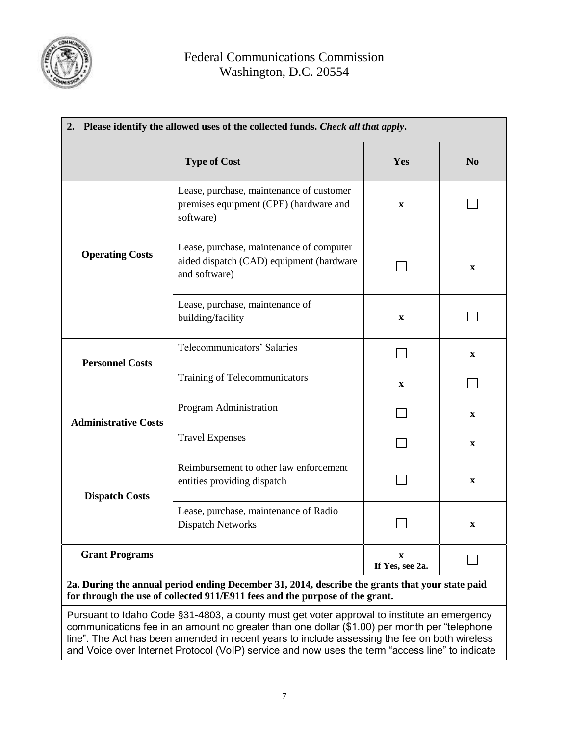

| 2. Please identify the allowed uses of the collected funds. Check all that apply. |                                                                                                       |                                 |                |
|-----------------------------------------------------------------------------------|-------------------------------------------------------------------------------------------------------|---------------------------------|----------------|
| <b>Type of Cost</b>                                                               |                                                                                                       | Yes                             | N <sub>0</sub> |
|                                                                                   | Lease, purchase, maintenance of customer<br>premises equipment (CPE) (hardware and<br>software)       | $\mathbf X$                     |                |
| <b>Operating Costs</b>                                                            | Lease, purchase, maintenance of computer<br>aided dispatch (CAD) equipment (hardware<br>and software) |                                 | $\mathbf X$    |
|                                                                                   | Lease, purchase, maintenance of<br>building/facility                                                  | $\mathbf X$                     |                |
| <b>Personnel Costs</b>                                                            | Telecommunicators' Salaries                                                                           |                                 | $\mathbf{X}$   |
|                                                                                   | Training of Telecommunicators                                                                         | $\mathbf X$                     |                |
| <b>Administrative Costs</b>                                                       | Program Administration                                                                                |                                 | $\mathbf X$    |
|                                                                                   | <b>Travel Expenses</b>                                                                                |                                 | $\mathbf{X}$   |
| <b>Dispatch Costs</b>                                                             | Reimbursement to other law enforcement<br>entities providing dispatch                                 |                                 | $\mathbf{X}$   |
|                                                                                   | Lease, purchase, maintenance of Radio<br><b>Dispatch Networks</b>                                     |                                 | $\mathbf{X}$   |
| <b>Grant Programs</b>                                                             |                                                                                                       | $\mathbf{x}$<br>If Yes, see 2a. |                |

**for through the use of collected 911/E911 fees and the purpose of the grant.** Pursuant to Idaho Code §31-4803, a county must get voter approval to institute an emergency communications fee in an amount no greater than one dollar (\$1.00) per month per "telephone line". The Act has been amended in recent years to include assessing the fee on both wireless

and Voice over Internet Protocol (VoIP) service and now uses the term "access line" to indicate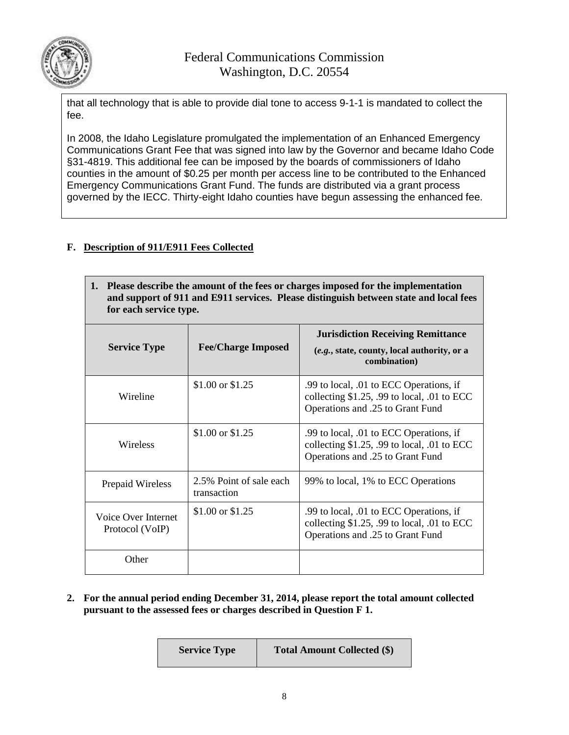

that all technology that is able to provide dial tone to access 9-1-1 is mandated to collect the fee.

In 2008, the Idaho Legislature promulgated the implementation of an Enhanced Emergency Communications Grant Fee that was signed into law by the Governor and became Idaho Code §31-4819. This additional fee can be imposed by the boards of commissioners of Idaho counties in the amount of \$0.25 per month per access line to be contributed to the Enhanced Emergency Communications Grant Fund. The funds are distributed via a grant process governed by the IECC. Thirty-eight Idaho counties have begun assessing the enhanced fee.

### **F. Description of 911/E911 Fees Collected**

| 1. Please describe the amount of the fees or charges imposed for the implementation   |
|---------------------------------------------------------------------------------------|
| and support of 911 and E911 services. Please distinguish between state and local fees |
| for each service type.                                                                |

| <b>Service Type</b>                    | <b>Fee/Charge Imposed</b>              | <b>Jurisdiction Receiving Remittance</b><br>(e.g., state, county, local authority, or a<br>combination)                      |
|----------------------------------------|----------------------------------------|------------------------------------------------------------------------------------------------------------------------------|
| Wireline                               | \$1.00 or \$1.25                       | .99 to local, .01 to ECC Operations, if<br>collecting $$1.25$ , .99 to local, .01 to ECC<br>Operations and .25 to Grant Fund |
| Wireless                               | \$1.00 or \$1.25                       | .99 to local, .01 to ECC Operations, if<br>collecting $$1.25$ , .99 to local, .01 to ECC<br>Operations and .25 to Grant Fund |
| Prepaid Wireless                       | 2.5% Point of sale each<br>transaction | 99% to local, 1% to ECC Operations                                                                                           |
| Voice Over Internet<br>Protocol (VoIP) | \$1.00 or \$1.25                       | .99 to local, .01 to ECC Operations, if<br>collecting $$1.25$ , .99 to local, .01 to ECC<br>Operations and .25 to Grant Fund |
| Other                                  |                                        |                                                                                                                              |

**2. For the annual period ending December 31, 2014, please report the total amount collected pursuant to the assessed fees or charges described in Question F 1.**

| <b>Service Type</b> | <b>Total Amount Collected (\$)</b> |
|---------------------|------------------------------------|
|---------------------|------------------------------------|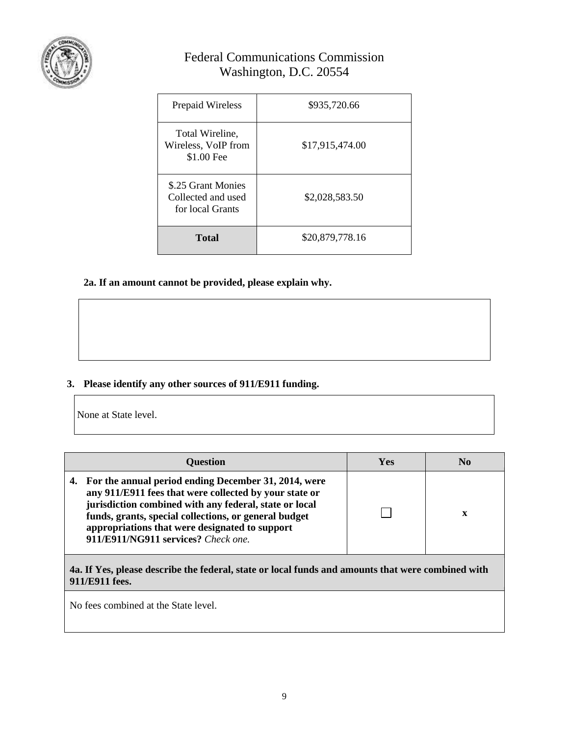

| Prepaid Wireless                                             | \$935,720.66    |
|--------------------------------------------------------------|-----------------|
| Total Wireline,<br>Wireless, VoIP from<br>\$1.00 Fee         | \$17,915,474.00 |
| \$.25 Grant Monies<br>Collected and used<br>for local Grants | \$2,028,583.50  |
| <b>Total</b>                                                 | \$20,879,778.16 |

**2a. If an amount cannot be provided, please explain why.**

### **3. Please identify any other sources of 911/E911 funding.**

None at State level.

| <b>Question</b>                                                                                                                                                                                                                                                                                                               | Yes | No |
|-------------------------------------------------------------------------------------------------------------------------------------------------------------------------------------------------------------------------------------------------------------------------------------------------------------------------------|-----|----|
| 4. For the annual period ending December 31, 2014, were<br>any 911/E911 fees that were collected by your state or<br>jurisdiction combined with any federal, state or local<br>funds, grants, special collections, or general budget<br>appropriations that were designated to support<br>911/E911/NG911 services? Check one. |     | X  |

**4a. If Yes, please describe the federal, state or local funds and amounts that were combined with 911/E911 fees.**

No fees combined at the State level.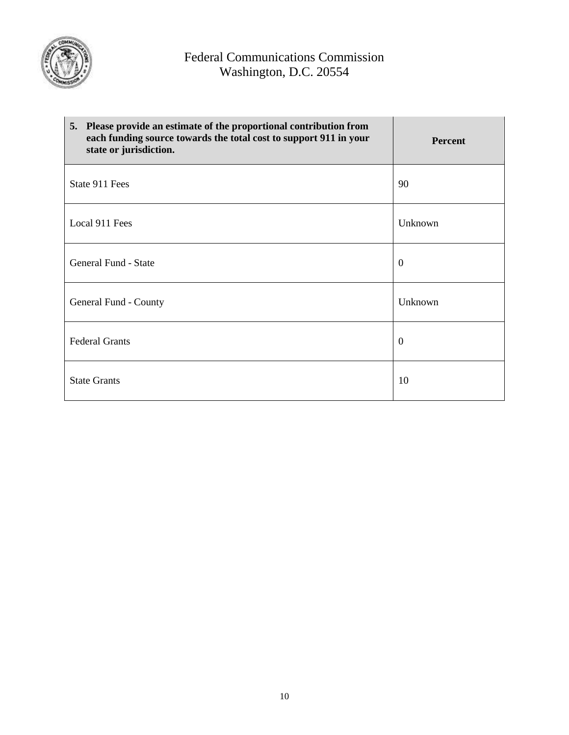

| 5. Please provide an estimate of the proportional contribution from<br>each funding source towards the total cost to support 911 in your<br>state or jurisdiction. | <b>Percent</b> |
|--------------------------------------------------------------------------------------------------------------------------------------------------------------------|----------------|
| State 911 Fees                                                                                                                                                     | 90             |
| Local 911 Fees                                                                                                                                                     | Unknown        |
| General Fund - State                                                                                                                                               | $\mathbf{0}$   |
| General Fund - County                                                                                                                                              | Unknown        |
| <b>Federal Grants</b>                                                                                                                                              | $\overline{0}$ |
| <b>State Grants</b>                                                                                                                                                | 10             |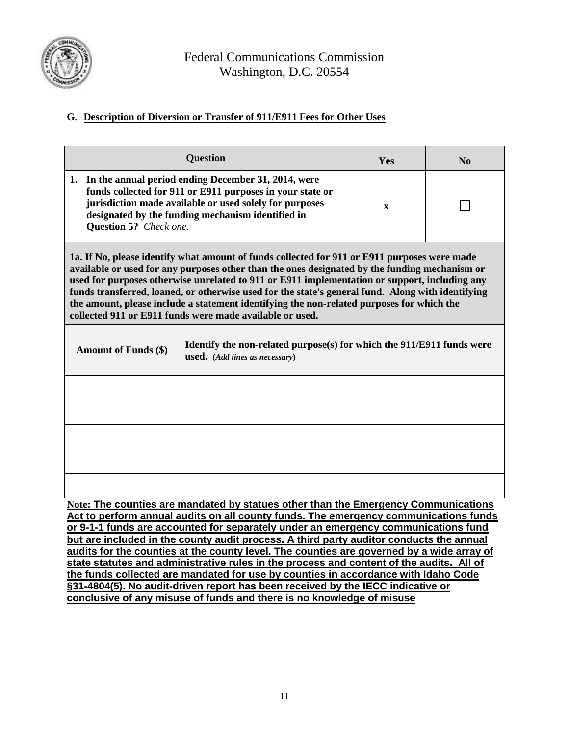

### **G. Description of Diversion or Transfer of 911/E911 Fees for Other Uses**

|                                                                                                                                                                                                                                                                                                                                                                                                                                                                                                                                                              | Yes                                                                                                     | $\mathbf{N}\mathbf{0}$ |  |  |  |  |
|--------------------------------------------------------------------------------------------------------------------------------------------------------------------------------------------------------------------------------------------------------------------------------------------------------------------------------------------------------------------------------------------------------------------------------------------------------------------------------------------------------------------------------------------------------------|---------------------------------------------------------------------------------------------------------|------------------------|--|--|--|--|
| In the annual period ending December 31, 2014, were<br>1.<br>funds collected for 911 or E911 purposes in your state or<br>jurisdiction made available or used solely for purposes<br>designated by the funding mechanism identified in<br>Question 5? Check one.                                                                                                                                                                                                                                                                                             | $\mathbf x$                                                                                             |                        |  |  |  |  |
| 1a. If No, please identify what amount of funds collected for 911 or E911 purposes were made<br>available or used for any purposes other than the ones designated by the funding mechanism or<br>used for purposes otherwise unrelated to 911 or E911 implementation or support, including any<br>funds transferred, loaned, or otherwise used for the state's general fund. Along with identifying<br>the amount, please include a statement identifying the non-related purposes for which the<br>collected 911 or E911 funds were made available or used. |                                                                                                         |                        |  |  |  |  |
| <b>Amount of Funds (\$)</b>                                                                                                                                                                                                                                                                                                                                                                                                                                                                                                                                  | Identify the non-related purpose(s) for which the 911/E911 funds were<br>used. (Add lines as necessary) |                        |  |  |  |  |
|                                                                                                                                                                                                                                                                                                                                                                                                                                                                                                                                                              |                                                                                                         |                        |  |  |  |  |
|                                                                                                                                                                                                                                                                                                                                                                                                                                                                                                                                                              |                                                                                                         |                        |  |  |  |  |
|                                                                                                                                                                                                                                                                                                                                                                                                                                                                                                                                                              |                                                                                                         |                        |  |  |  |  |
|                                                                                                                                                                                                                                                                                                                                                                                                                                                                                                                                                              |                                                                                                         |                        |  |  |  |  |
|                                                                                                                                                                                                                                                                                                                                                                                                                                                                                                                                                              |                                                                                                         |                        |  |  |  |  |

**Note: The counties are mandated by statues other than the Emergency Communications Act to perform annual audits on all county funds. The emergency communications funds or 9-1-1 funds are accounted for separately under an emergency communications fund but are included in the county audit process. A third party auditor conducts the annual audits for the counties at the county level. The counties are governed by a wide array of state statutes and administrative rules in the process and content of the audits. All of the funds collected are mandated for use by counties in accordance with Idaho Code §31-4804(5). No audit-driven report has been received by the IECC indicative or conclusive of any misuse of funds and there is no knowledge of misuse**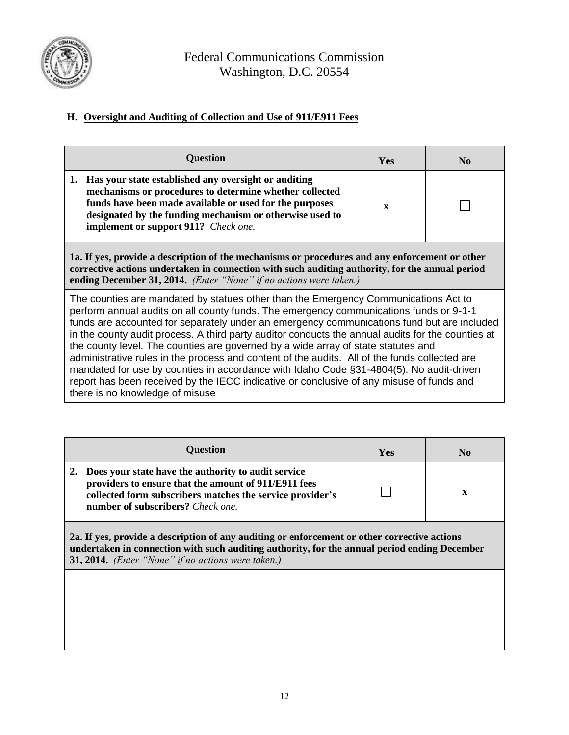

### **H. Oversight and Auditing of Collection and Use of 911/E911 Fees**

| <b>Question</b>                                                                                                                                                                                                                                                                                                                                                                                                                                                                                                                                                                                                                                                                                                                                                                                  | <b>Yes</b>   | N <sub>0</sub> |  |
|--------------------------------------------------------------------------------------------------------------------------------------------------------------------------------------------------------------------------------------------------------------------------------------------------------------------------------------------------------------------------------------------------------------------------------------------------------------------------------------------------------------------------------------------------------------------------------------------------------------------------------------------------------------------------------------------------------------------------------------------------------------------------------------------------|--------------|----------------|--|
| 1. Has your state established any oversight or auditing<br>mechanisms or procedures to determine whether collected<br>funds have been made available or used for the purposes<br>designated by the funding mechanism or otherwise used to<br>implement or support 911? Check one.                                                                                                                                                                                                                                                                                                                                                                                                                                                                                                                | $\mathbf{x}$ |                |  |
| 1a. If yes, provide a description of the mechanisms or procedures and any enforcement or other<br>corrective actions undertaken in connection with such auditing authority, for the annual period<br>ending December 31, 2014. (Enter "None" if no actions were taken.)                                                                                                                                                                                                                                                                                                                                                                                                                                                                                                                          |              |                |  |
| The counties are mandated by statues other than the Emergency Communications Act to<br>perform annual audits on all county funds. The emergency communications funds or 9-1-1<br>funds are accounted for separately under an emergency communications fund but are included<br>in the county audit process. A third party auditor conducts the annual audits for the counties at<br>the county level. The counties are governed by a wide array of state statutes and<br>administrative rules in the process and content of the audits. All of the funds collected are<br>mandated for use by counties in accordance with Idaho Code §31-4804(5). No audit-driven<br>report has been received by the IECC indicative or conclusive of any misuse of funds and<br>there is no knowledge of misuse |              |                |  |

| <b>Question</b>                                                                                                                                                                                               | Yes | N <sub>0</sub> |
|---------------------------------------------------------------------------------------------------------------------------------------------------------------------------------------------------------------|-----|----------------|
| Does your state have the authority to audit service<br>providers to ensure that the amount of 911/E911 fees<br>collected form subscribers matches the service provider's<br>number of subscribers? Check one. |     | $\mathbf x$    |
| $\sim$ 20 Tf yes, provide a description of any auditing or enforcement or other corrective actions                                                                                                            |     |                |

**2a. If yes, provide a description of any auditing or enforcement or other corrective actions undertaken in connection with such auditing authority, for the annual period ending December 31, 2014.** *(Enter "None" if no actions were taken.)*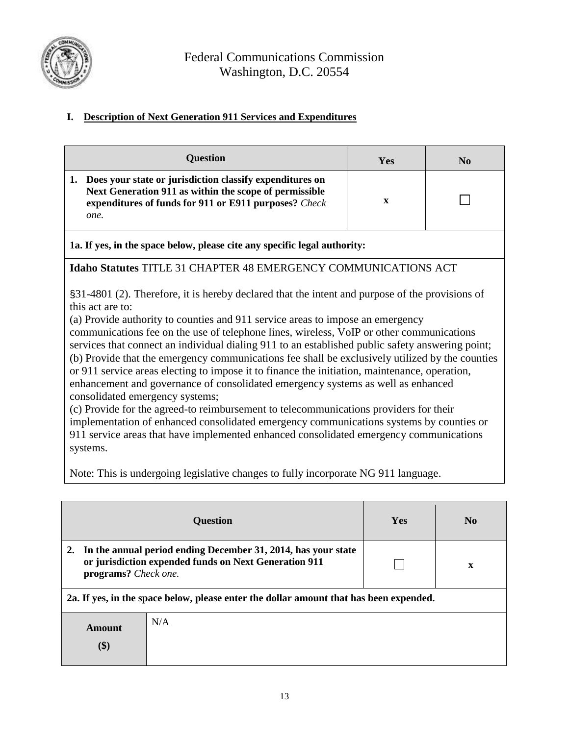

# **I. Description of Next Generation 911 Services and Expenditures**

| Question                                                                                                                                                                                                                                                                                                                                                                                                                                                                                                                                                                                                                                                                                                                                                                                                                                                                                                                                                                                                                                                                                             | Yes         | $\mathbf{N}\mathbf{0}$ |  |  |
|------------------------------------------------------------------------------------------------------------------------------------------------------------------------------------------------------------------------------------------------------------------------------------------------------------------------------------------------------------------------------------------------------------------------------------------------------------------------------------------------------------------------------------------------------------------------------------------------------------------------------------------------------------------------------------------------------------------------------------------------------------------------------------------------------------------------------------------------------------------------------------------------------------------------------------------------------------------------------------------------------------------------------------------------------------------------------------------------------|-------------|------------------------|--|--|
| 1. Does your state or jurisdiction classify expenditures on<br>Next Generation 911 as within the scope of permissible<br>expenditures of funds for 911 or E911 purposes? Check<br>one.                                                                                                                                                                                                                                                                                                                                                                                                                                                                                                                                                                                                                                                                                                                                                                                                                                                                                                               | $\mathbf X$ |                        |  |  |
| 1a. If yes, in the space below, please cite any specific legal authority:                                                                                                                                                                                                                                                                                                                                                                                                                                                                                                                                                                                                                                                                                                                                                                                                                                                                                                                                                                                                                            |             |                        |  |  |
|                                                                                                                                                                                                                                                                                                                                                                                                                                                                                                                                                                                                                                                                                                                                                                                                                                                                                                                                                                                                                                                                                                      |             |                        |  |  |
| <b>Idaho Statutes TITLE 31 CHAPTER 48 EMERGENCY COMMUNICATIONS ACT</b><br>§31-4801 (2). Therefore, it is hereby declared that the intent and purpose of the provisions of<br>this act are to:<br>(a) Provide authority to counties and 911 service areas to impose an emergency<br>communications fee on the use of telephone lines, wireless, VoIP or other communications<br>services that connect an individual dialing 911 to an established public safety answering point;<br>(b) Provide that the emergency communications fee shall be exclusively utilized by the counties<br>or 911 service areas electing to impose it to finance the initiation, maintenance, operation,<br>enhancement and governance of consolidated emergency systems as well as enhanced<br>consolidated emergency systems;<br>(c) Provide for the agreed-to reimbursement to telecommunications providers for their<br>implementation of enhanced consolidated emergency communications systems by counties or<br>911 service areas that have implemented enhanced consolidated emergency communications<br>systems. |             |                        |  |  |
| Note: This is undergoing legislative changes to fully incorporate NG 911 language.                                                                                                                                                                                                                                                                                                                                                                                                                                                                                                                                                                                                                                                                                                                                                                                                                                                                                                                                                                                                                   |             |                        |  |  |

|                                                                                        | <b>Question</b>                                                                                                        | <b>Yes</b> | N <sub>0</sub> |
|----------------------------------------------------------------------------------------|------------------------------------------------------------------------------------------------------------------------|------------|----------------|
| 2.<br>programs? Check one.                                                             | In the annual period ending December 31, 2014, has your state<br>or jurisdiction expended funds on Next Generation 911 |            | X              |
| 2a. If yes, in the space below, please enter the dollar amount that has been expended. |                                                                                                                        |            |                |
| Amount<br>\$)                                                                          | N/A                                                                                                                    |            |                |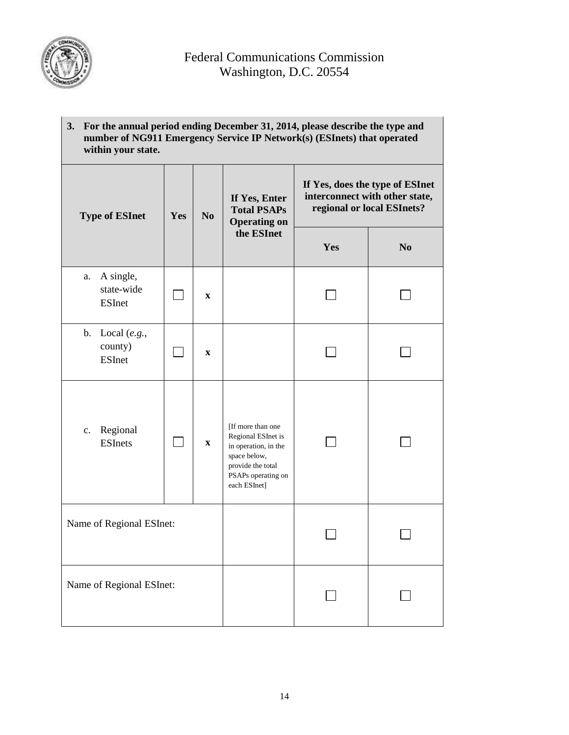

| 3. | For the annual period ending December 31, 2014, please describe the type and<br>number of NG911 Emergency Service IP Network(s) (ESInets) that operated<br>within your state. |  |  |                                                     |                                                                                                 |
|----|-------------------------------------------------------------------------------------------------------------------------------------------------------------------------------|--|--|-----------------------------------------------------|-------------------------------------------------------------------------------------------------|
|    |                                                                                                                                                                               |  |  | If Yes, Enter<br>$T_{\alpha}$ tol DCAD <sub>c</sub> | If Yes, does the type of ESInet<br>interconnect with other state,<br>regional or local ESInets? |

| <b>Type of ESInet</b>                          | Yes | N <sub>0</sub>            | <b>Total PSAPs</b><br><b>Operating on</b>                                                                                                  |     | regional or local ESInets? |
|------------------------------------------------|-----|---------------------------|--------------------------------------------------------------------------------------------------------------------------------------------|-----|----------------------------|
|                                                |     |                           | the ESInet                                                                                                                                 | Yes | N <sub>0</sub>             |
| A single,<br>a.<br>state-wide<br><b>ESInet</b> |     | $\mathbf X$               |                                                                                                                                            |     |                            |
| b. Local $(e.g.,$<br>county)<br><b>ESInet</b>  |     | $\boldsymbol{\mathrm{X}}$ |                                                                                                                                            |     |                            |
| Regional<br>c.<br><b>ESInets</b>               |     | $\mathbf X$               | [If more than one<br>Regional ESInet is<br>in operation, in the<br>space below,<br>provide the total<br>PSAPs operating on<br>each ESInet] |     |                            |
| Name of Regional ESInet:                       |     |                           |                                                                                                                                            |     |                            |
| Name of Regional ESInet:                       |     |                           |                                                                                                                                            |     |                            |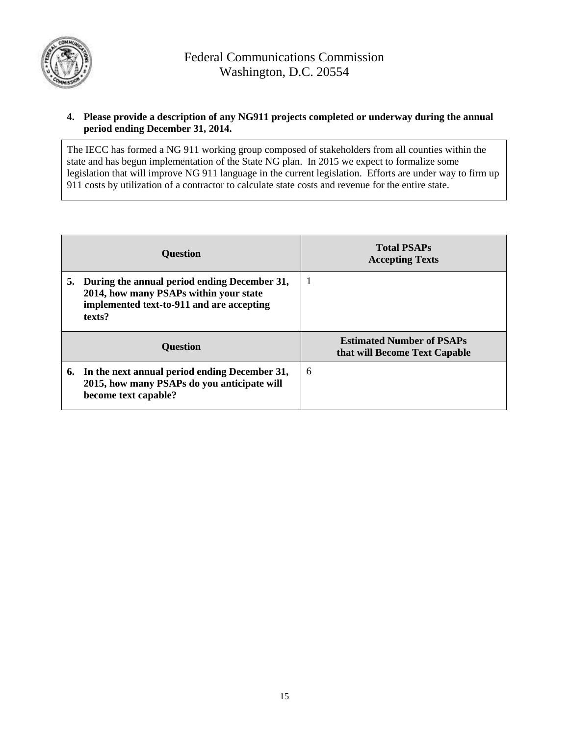

#### **4. Please provide a description of any NG911 projects completed or underway during the annual period ending December 31, 2014.**

The IECC has formed a NG 911 working group composed of stakeholders from all counties within the state and has begun implementation of the State NG plan. In 2015 we expect to formalize some legislation that will improve NG 911 language in the current legislation. Efforts are under way to firm up 911 costs by utilization of a contractor to calculate state costs and revenue for the entire state.

| <b>Question</b>                                                                                                                                  | <b>Total PSAPs</b><br><b>Accepting Texts</b>                      |
|--------------------------------------------------------------------------------------------------------------------------------------------------|-------------------------------------------------------------------|
| 5. During the annual period ending December 31,<br>2014, how many PSAPs within your state<br>implemented text-to-911 and are accepting<br>texts? |                                                                   |
| <b>Question</b>                                                                                                                                  | <b>Estimated Number of PSAPs</b><br>that will Become Text Capable |
| 6. In the next annual period ending December 31,<br>2015, how many PSAPs do you anticipate will<br>become text capable?                          | 6                                                                 |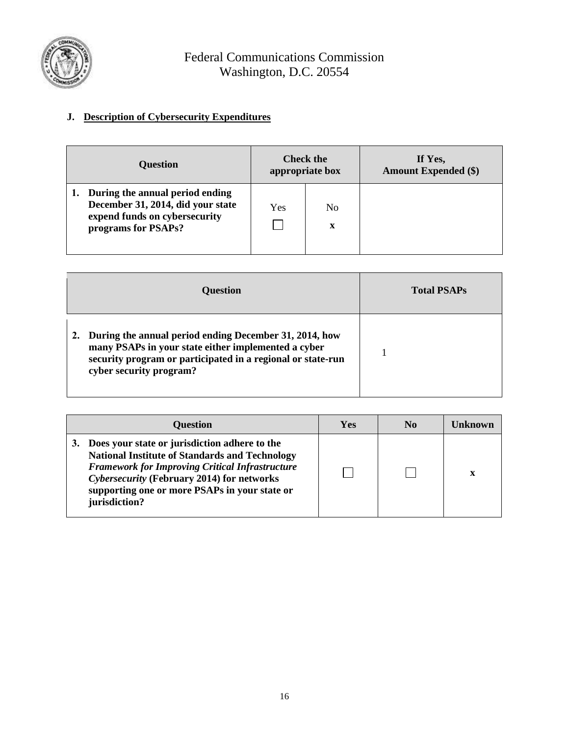

## **J. Description of Cybersecurity Expenditures**

| <b>Question</b>                                                                                                              |     | <b>Check the</b><br>appropriate box | If Yes,<br><b>Amount Expended (\$)</b> |
|------------------------------------------------------------------------------------------------------------------------------|-----|-------------------------------------|----------------------------------------|
| During the annual period ending<br>December 31, 2014, did your state<br>expend funds on cybersecurity<br>programs for PSAPs? | Yes | No.<br>X                            |                                        |

| <b>Question</b>                                                                                                                                                                                         | <b>Total PSAPs</b> |
|---------------------------------------------------------------------------------------------------------------------------------------------------------------------------------------------------------|--------------------|
| During the annual period ending December 31, 2014, how<br>many PSAPs in your state either implemented a cyber<br>security program or participated in a regional or state-run<br>cyber security program? |                    |

| <b>Question</b>                                                                                                                                                                                                                                                                        | Yes | N <sub>0</sub> | ∐nkn∩wn |
|----------------------------------------------------------------------------------------------------------------------------------------------------------------------------------------------------------------------------------------------------------------------------------------|-----|----------------|---------|
| Does your state or jurisdiction adhere to the<br>3.<br><b>National Institute of Standards and Technology</b><br><b>Framework for Improving Critical Infrastructure</b><br>Cybersecurity (February 2014) for networks<br>supporting one or more PSAPs in your state or<br>jurisdiction? |     |                |         |